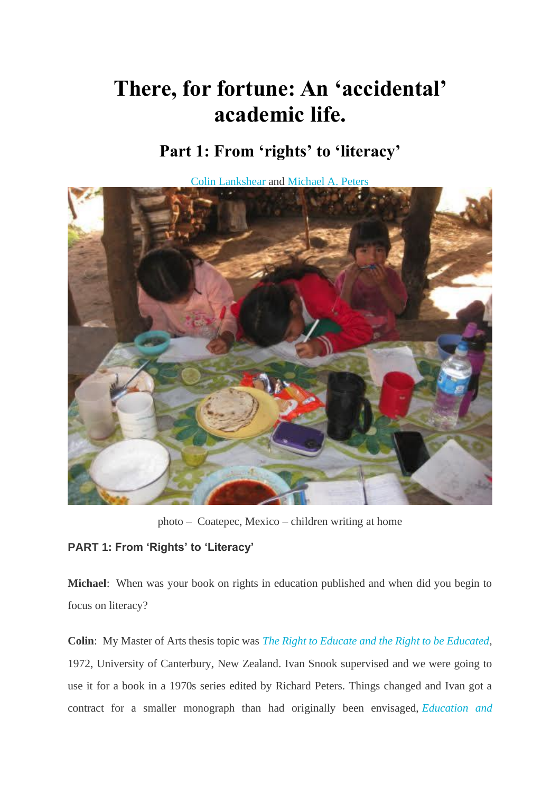# **There, for fortune: An 'accidental' academic life.**

# **Part 1: From 'rights' to 'literacy'**

[Colin Lankshear](https://pesaagora.com/authors#authorid306) and [Michael A. Peters](https://pesaagora.com/authors#authorid245)



photo – Coatepec, Mexico – children writing at home

# **PART 1: From 'Rights' to 'Literacy'**

**Michael**: When was your book on rights in education published and when did you begin to focus on literacy?

**Colin**: My Master of Arts thesis topic was *[The Right to Educate and the Right to be Educated](https://ir.canterbury.ac.nz/handle/10092/4055)*, 1972, University of Canterbury, New Zealand. Ivan Snook supervised and we were going to use it for a book in a 1970s series edited by Richard Peters. Things changed and Ivan got a contract for a smaller monograph than had originally been envisaged, *[Education and](https://books.google.co.nz/books/about/Education_and_Rights.html?id=6ydF6QeIlvEC&redir_esc=y)*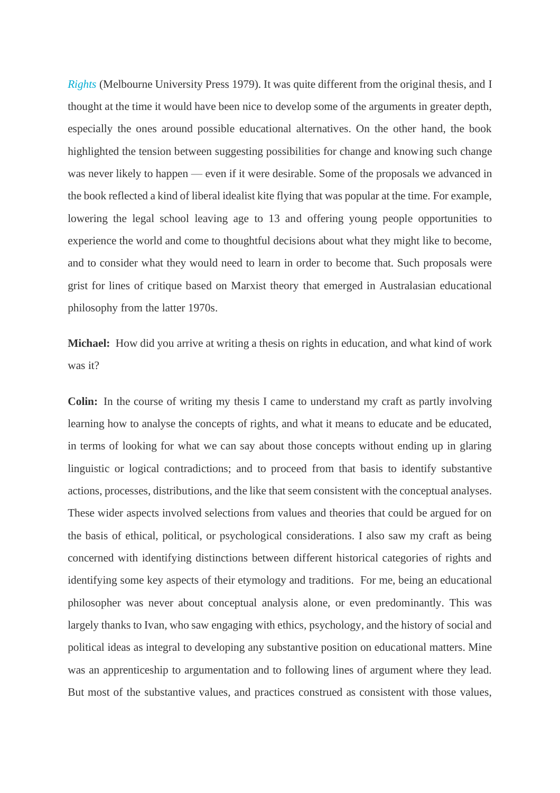*[Rights](https://books.google.co.nz/books/about/Education_and_Rights.html?id=6ydF6QeIlvEC&redir_esc=y)* (Melbourne University Press 1979). It was quite different from the original thesis, and I thought at the time it would have been nice to develop some of the arguments in greater depth, especially the ones around possible educational alternatives. On the other hand, the book highlighted the tension between suggesting possibilities for change and knowing such change was never likely to happen — even if it were desirable. Some of the proposals we advanced in the book reflected a kind of liberal idealist kite flying that was popular at the time. For example, lowering the legal school leaving age to 13 and offering young people opportunities to experience the world and come to thoughtful decisions about what they might like to become, and to consider what they would need to learn in order to become that. Such proposals were grist for lines of critique based on Marxist theory that emerged in Australasian educational philosophy from the latter 1970s.

**Michael:** How did you arrive at writing a thesis on rights in education, and what kind of work was it?

**Colin:** In the course of writing my thesis I came to understand my craft as partly involving learning how to analyse the concepts of rights, and what it means to educate and be educated, in terms of looking for what we can say about those concepts without ending up in glaring linguistic or logical contradictions; and to proceed from that basis to identify substantive actions, processes, distributions, and the like that seem consistent with the conceptual analyses. These wider aspects involved selections from values and theories that could be argued for on the basis of ethical, political, or psychological considerations. I also saw my craft as being concerned with identifying distinctions between different historical categories of rights and identifying some key aspects of their etymology and traditions. For me, being an educational philosopher was never about conceptual analysis alone, or even predominantly. This was largely thanks to Ivan, who saw engaging with ethics, psychology, and the history of social and political ideas as integral to developing any substantive position on educational matters. Mine was an apprenticeship to argumentation and to following lines of argument where they lead. But most of the substantive values, and practices construed as consistent with those values,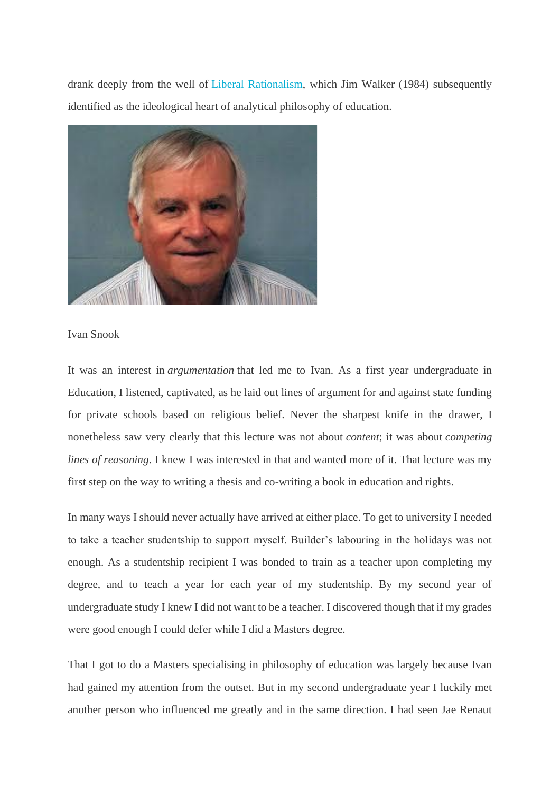drank deeply from the well of [Liberal Rationalism,](https://books.google.co.nz/books?id=-U0uRwIAH8QC&pg=PA76&dq=James+Walker,+Liberal+Rationalism+1984&hl=en&sa=X&ved=0ahUKEwi9s92QyoDqAhUxmeYKHV-7B5oQ6AEILzAB#v=onepage&q=James%20Walker%2C%20Liberal%20Rationalism%201984&f=false) which Jim Walker (1984) subsequently identified as the ideological heart of analytical philosophy of education.



Ivan Snook

It was an interest in *argumentation* that led me to Ivan. As a first year undergraduate in Education, I listened, captivated, as he laid out lines of argument for and against state funding for private schools based on religious belief. Never the sharpest knife in the drawer, I nonetheless saw very clearly that this lecture was not about *content*; it was about *competing lines of reasoning*. I knew I was interested in that and wanted more of it. That lecture was my first step on the way to writing a thesis and co-writing a book in education and rights.

In many ways I should never actually have arrived at either place. To get to university I needed to take a teacher studentship to support myself. Builder's labouring in the holidays was not enough. As a studentship recipient I was bonded to train as a teacher upon completing my degree, and to teach a year for each year of my studentship. By my second year of undergraduate study I knew I did not want to be a teacher. I discovered though that if my grades were good enough I could defer while I did a Masters degree.

That I got to do a Masters specialising in philosophy of education was largely because Ivan had gained my attention from the outset. But in my second undergraduate year I luckily met another person who influenced me greatly and in the same direction. I had seen Jae Renaut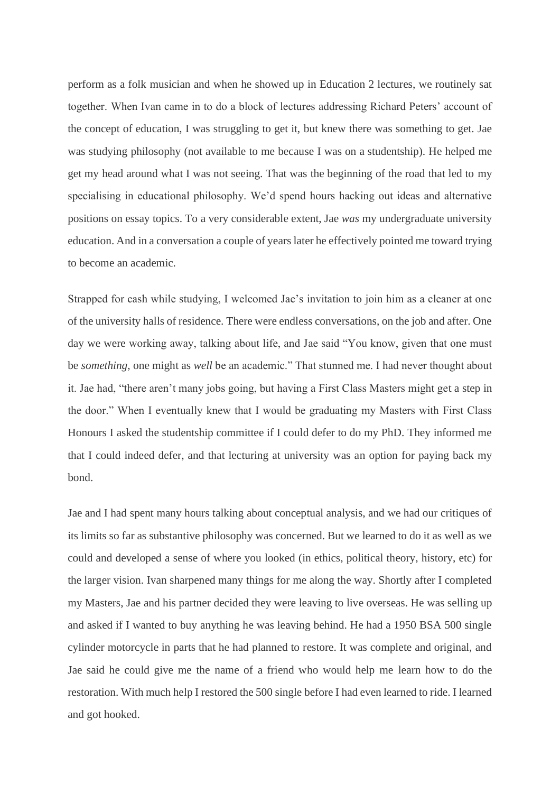perform as a folk musician and when he showed up in Education 2 lectures, we routinely sat together. When Ivan came in to do a block of lectures addressing Richard Peters' account of the concept of education, I was struggling to get it, but knew there was something to get. Jae was studying philosophy (not available to me because I was on a studentship). He helped me get my head around what I was not seeing. That was the beginning of the road that led to my specialising in educational philosophy. We'd spend hours hacking out ideas and alternative positions on essay topics. To a very considerable extent, Jae *was* my undergraduate university education. And in a conversation a couple of years later he effectively pointed me toward trying to become an academic.

Strapped for cash while studying, I welcomed Jae's invitation to join him as a cleaner at one of the university halls of residence. There were endless conversations, on the job and after. One day we were working away, talking about life, and Jae said "You know, given that one must be *something*, one might as *well* be an academic." That stunned me. I had never thought about it. Jae had, "there aren't many jobs going, but having a First Class Masters might get a step in the door." When I eventually knew that I would be graduating my Masters with First Class Honours I asked the studentship committee if I could defer to do my PhD. They informed me that I could indeed defer, and that lecturing at university was an option for paying back my bond.

Jae and I had spent many hours talking about conceptual analysis, and we had our critiques of its limits so far as substantive philosophy was concerned. But we learned to do it as well as we could and developed a sense of where you looked (in ethics, political theory, history, etc) for the larger vision. Ivan sharpened many things for me along the way. Shortly after I completed my Masters, Jae and his partner decided they were leaving to live overseas. He was selling up and asked if I wanted to buy anything he was leaving behind. He had a 1950 BSA 500 single cylinder motorcycle in parts that he had planned to restore. It was complete and original, and Jae said he could give me the name of a friend who would help me learn how to do the restoration. With much help I restored the 500 single before I had even learned to ride. I learned and got hooked.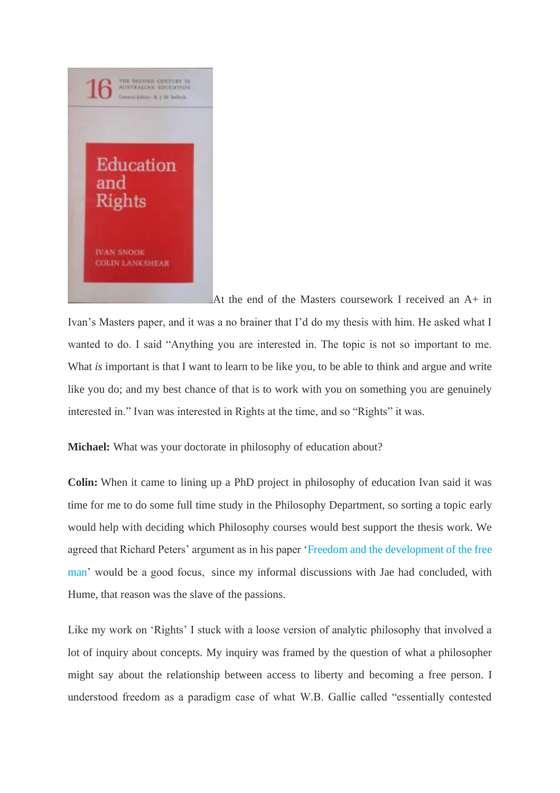

At the end of the Masters coursework I received an A+ in

Ivan's Masters paper, and it was a no brainer that I'd do my thesis with him. He asked what I wanted to do. I said "Anything you are interested in. The topic is not so important to me. What *is* important is that I want to learn to be like you, to be able to think and argue and write like you do; and my best chance of that is to work with you on something you are genuinely interested in." Ivan was interested in Rights at the time, and so "Rights" it was.

**Michael:** What was your doctorate in philosophy of education about?

**Colin:** When it came to lining up a PhD project in philosophy of education Ivan said it was time for me to do some full time study in the Philosophy Department, so sorting a topic early would help with deciding which Philosophy courses would best support the thesis work. We agreed that Richard Peters' argument as in his paper ['Freedom and the development of the free](https://www.taylorfrancis.com/books/e/9780203861158/chapters/10.4324/9780203861158-19)  [man'](https://www.taylorfrancis.com/books/e/9780203861158/chapters/10.4324/9780203861158-19) would be a good focus, since my informal discussions with Jae had concluded, with Hume, that reason was the slave of the passions.

Like my work on 'Rights' I stuck with a loose version of analytic philosophy that involved a lot of inquiry about concepts. My inquiry was framed by the question of what a philosopher might say about the relationship between access to liberty and becoming a free person. I understood freedom as a paradigm case of what W.B. Gallie called "essentially contested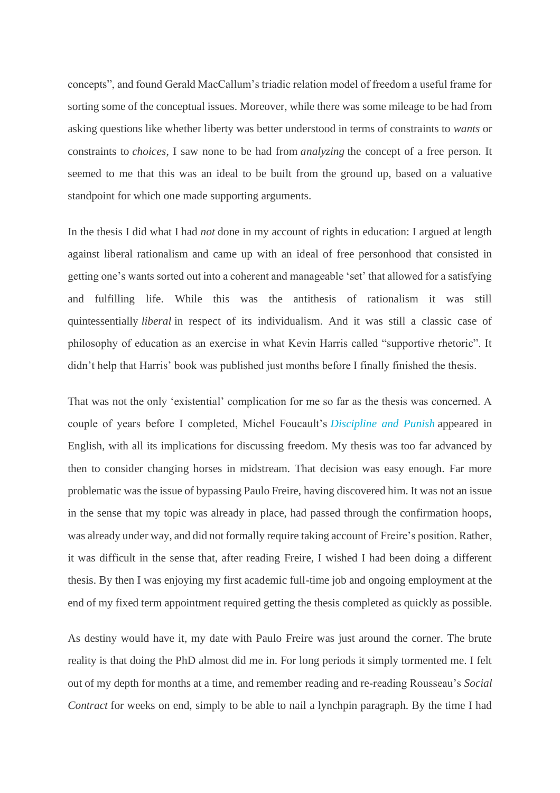concepts", and found Gerald MacCallum's triadic relation model of freedom a useful frame for sorting some of the conceptual issues. Moreover, while there was some mileage to be had from asking questions like whether liberty was better understood in terms of constraints to *wants* or constraints to *choices*, I saw none to be had from *analyzing* the concept of a free person. It seemed to me that this was an ideal to be built from the ground up, based on a valuative standpoint for which one made supporting arguments.

In the thesis I did what I had *not* done in my account of rights in education: I argued at length against liberal rationalism and came up with an ideal of free personhood that consisted in getting one's wants sorted out into a coherent and manageable 'set' that allowed for a satisfying and fulfilling life. While this was the antithesis of rationalism it was still quintessentially *liberal* in respect of its individualism. And it was still a classic case of philosophy of education as an exercise in what Kevin Harris called "supportive rhetoric". It didn't help that Harris' book was published just months before I finally finished the thesis.

That was not the only 'existential' complication for me so far as the thesis was concerned. A couple of years before I completed, Michel Foucault's *[Discipline and Punish](https://books.google.co.nz/books?id=6rfP0H5TSmYC&dq=foucault+discipline+and+punish,+1977&hl=en&sa=X&ved=0ahUKEwiR7vrjzYDqAhWm6nMBHSXVBRcQ6AEIODAC)* appeared in English, with all its implications for discussing freedom. My thesis was too far advanced by then to consider changing horses in midstream. That decision was easy enough. Far more problematic was the issue of bypassing Paulo Freire, having discovered him. It was not an issue in the sense that my topic was already in place, had passed through the confirmation hoops, was already under way, and did not formally require taking account of Freire's position. Rather, it was difficult in the sense that, after reading Freire, I wished I had been doing a different thesis. By then I was enjoying my first academic full-time job and ongoing employment at the end of my fixed term appointment required getting the thesis completed as quickly as possible.

As destiny would have it, my date with Paulo Freire was just around the corner. The brute reality is that doing the PhD almost did me in. For long periods it simply tormented me. I felt out of my depth for months at a time, and remember reading and re-reading Rousseau's *Social Contract* for weeks on end, simply to be able to nail a lynchpin paragraph. By the time I had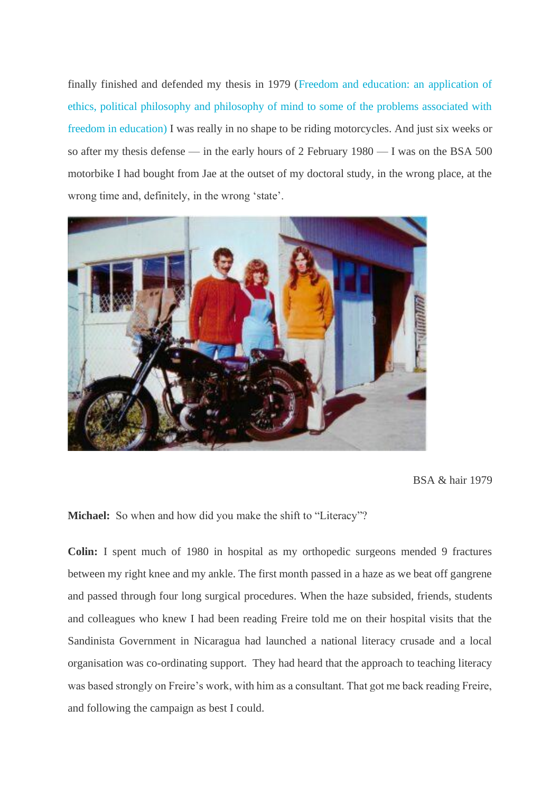finally finished and defended my thesis in 1979 [\(Freedom and education: an application of](https://ir.canterbury.ac.nz/handle/10092/1067)  [ethics, political philosophy and philosophy of mind to some of the problems associated with](https://ir.canterbury.ac.nz/handle/10092/1067)  [freedom in education\)](https://ir.canterbury.ac.nz/handle/10092/1067) I was really in no shape to be riding motorcycles. And just six weeks or so after my thesis defense — in the early hours of 2 February 1980 — I was on the BSA 500 motorbike I had bought from Jae at the outset of my doctoral study, in the wrong place, at the wrong time and, definitely, in the wrong 'state'.



BSA & hair 1979

**Michael:** So when and how did you make the shift to "Literacy"?

**Colin:** I spent much of 1980 in hospital as my orthopedic surgeons mended 9 fractures between my right knee and my ankle. The first month passed in a haze as we beat off gangrene and passed through four long surgical procedures. When the haze subsided, friends, students and colleagues who knew I had been reading Freire told me on their hospital visits that the Sandinista Government in Nicaragua had launched a national literacy crusade and a local organisation was co-ordinating support. They had heard that the approach to teaching literacy was based strongly on Freire's work, with him as a consultant. That got me back reading Freire, and following the campaign as best I could.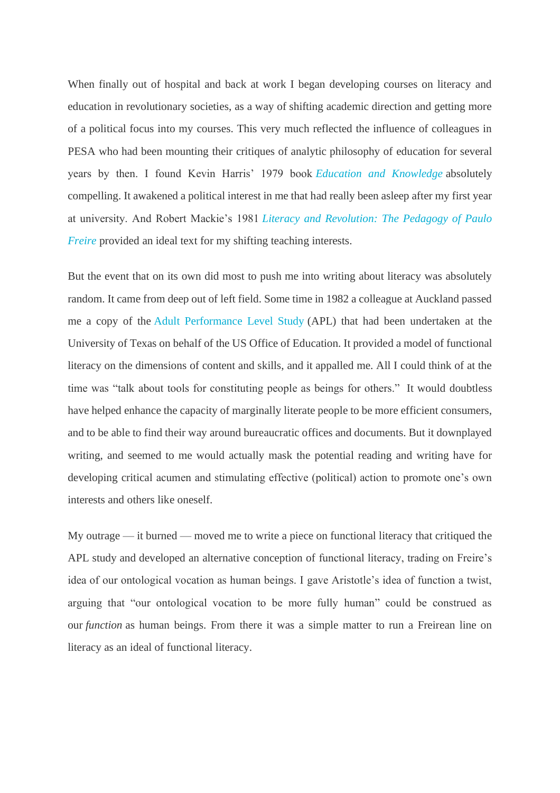When finally out of hospital and back at work I began developing courses on literacy and education in revolutionary societies, as a way of shifting academic direction and getting more of a political focus into my courses. This very much reflected the influence of colleagues in PESA who had been mounting their critiques of analytic philosophy of education for several years by then. I found Kevin Harris' 1979 book *[Education and Knowledge](https://www.bookdepository.com/Education-Knowledge-Kevin-Harris/9781138694132)* absolutely compelling. It awakened a political interest in me that had really been asleep after my first year at university. And Robert Mackie's 1981 *[Literacy and Revolution: The Pedagogy of Paulo](https://www.amazon.com/Literacy-Revolution-Pedagogy-Paulo-Freire/dp/0826400558)  [Freire](https://www.amazon.com/Literacy-Revolution-Pedagogy-Paulo-Freire/dp/0826400558)* provided an ideal text for my shifting teaching interests.

But the event that on its own did most to push me into writing about literacy was absolutely random. It came from deep out of left field. Some time in 1982 a colleague at Auckland passed me a copy of the [Adult Performance Level Study](https://pesaagora.com/columns/there-for-fortune-an-accidental-academic-life-part-1/Adult%20Performance%20Level%20Study) (APL) that had been undertaken at the University of Texas on behalf of the US Office of Education. It provided a model of functional literacy on the dimensions of content and skills, and it appalled me. All I could think of at the time was "talk about tools for constituting people as beings for others." It would doubtless have helped enhance the capacity of marginally literate people to be more efficient consumers, and to be able to find their way around bureaucratic offices and documents. But it downplayed writing, and seemed to me would actually mask the potential reading and writing have for developing critical acumen and stimulating effective (political) action to promote one's own interests and others like oneself.

My outrage — it burned — moved me to write a piece on functional literacy that critiqued the APL study and developed an alternative conception of functional literacy, trading on Freire's idea of our ontological vocation as human beings. I gave Aristotle's idea of function a twist, arguing that "our ontological vocation to be more fully human" could be construed as our *function* as human beings. From there it was a simple matter to run a Freirean line on literacy as an ideal of functional literacy.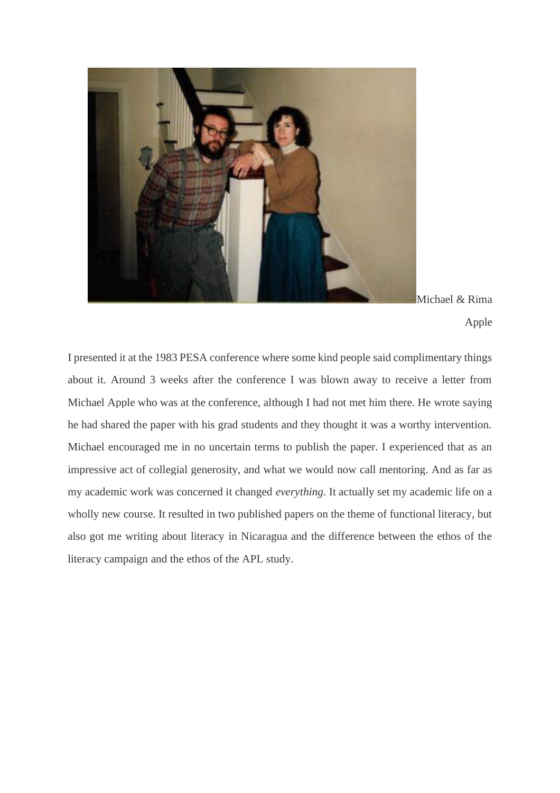

Michael & Rima Apple

I presented it at the 1983 PESA conference where some kind people said complimentary things about it. Around 3 weeks after the conference I was blown away to receive a letter from Michael Apple who was at the conference, although I had not met him there. He wrote saying he had shared the paper with his grad students and they thought it was a worthy intervention. Michael encouraged me in no uncertain terms to publish the paper. I experienced that as an impressive act of collegial generosity, and what we would now call mentoring. And as far as my academic work was concerned it changed *everything*. It actually set my academic life on a wholly new course. It resulted in two published papers on the theme of functional literacy, but also got me writing about literacy in Nicaragua and the difference between the ethos of the literacy campaign and the ethos of the APL study.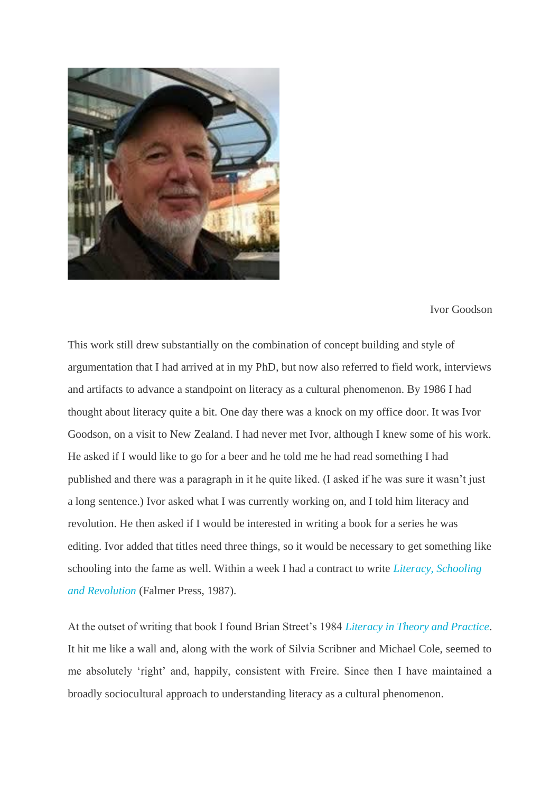

#### Ivor Goodson

This work still drew substantially on the combination of concept building and style of argumentation that I had arrived at in my PhD, but now also referred to field work, interviews and artifacts to advance a standpoint on literacy as a cultural phenomenon. By 1986 I had thought about literacy quite a bit. One day there was a knock on my office door. It was Ivor Goodson, on a visit to New Zealand. I had never met Ivor, although I knew some of his work. He asked if I would like to go for a beer and he told me he had read something I had published and there was a paragraph in it he quite liked. (I asked if he was sure it wasn't just a long sentence.) Ivor asked what I was currently working on, and I told him literacy and revolution. He then asked if I would be interested in writing a book for a series he was editing. Ivor added that titles need three things, so it would be necessary to get something like schooling into the fame as well. Within a week I had a contract to write *[Literacy, Schooling](https://www.researchgate.net/publication/291334369_Literacy_Schooling_and_Revolution)  [and Revolution](https://www.researchgate.net/publication/291334369_Literacy_Schooling_and_Revolution)* (Falmer Press, 1987).

At the outset of writing that book I found Brian Street's 1984 *[Literacy in Theory and Practice](https://books.google.co.nz/books/about/Literacy_in_Theory_and_Practice.html?id=R0UdWQ5thf8C&redir_esc=y)*. It hit me like a wall and, along with the work of Silvia Scribner and Michael Cole, seemed to me absolutely 'right' and, happily, consistent with Freire. Since then I have maintained a broadly sociocultural approach to understanding literacy as a cultural phenomenon.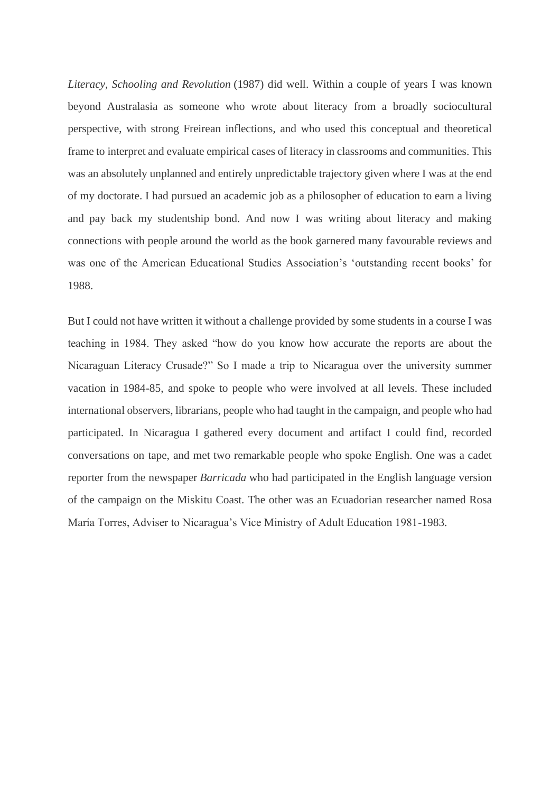*Literacy, Schooling and Revolution* (1987) did well. Within a couple of years I was known beyond Australasia as someone who wrote about literacy from a broadly sociocultural perspective, with strong Freirean inflections, and who used this conceptual and theoretical frame to interpret and evaluate empirical cases of literacy in classrooms and communities. This was an absolutely unplanned and entirely unpredictable trajectory given where I was at the end of my doctorate. I had pursued an academic job as a philosopher of education to earn a living and pay back my studentship bond. And now I was writing about literacy and making connections with people around the world as the book garnered many favourable reviews and was one of the American Educational Studies Association's 'outstanding recent books' for 1988.

But I could not have written it without a challenge provided by some students in a course I was teaching in 1984. They asked "how do you know how accurate the reports are about the Nicaraguan Literacy Crusade?" So I made a trip to Nicaragua over the university summer vacation in 1984-85, and spoke to people who were involved at all levels. These included international observers, librarians, people who had taught in the campaign, and people who had participated. In Nicaragua I gathered every document and artifact I could find, recorded conversations on tape, and met two remarkable people who spoke English. One was a cadet reporter from the newspaper *Barricada* who had participated in the English language version of the campaign on the Miskitu Coast. The other was an Ecuadorian researcher named Rosa María Torres, Adviser to Nicaragua's Vice Ministry of Adult Education 1981-1983.